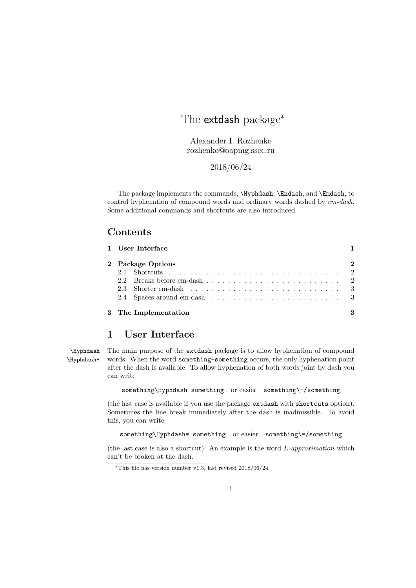# The extdash package<sup>\*</sup>

Alexander I. Rozhenko rozhenko@oapmg.sscc.ru

2018/06/24

The package implements the commands, \Hyphdash, \Endash, and \Emdash, to control hyphenation of compound words and ordinary words dashed by em-dash. Some additional commands and shortcuts are also introduced.

## Contents

| 2 Package Options |  |  |  |  |  |  |  |  |  |  |  |  |  |  |  |  |  |
|-------------------|--|--|--|--|--|--|--|--|--|--|--|--|--|--|--|--|--|
|                   |  |  |  |  |  |  |  |  |  |  |  |  |  |  |  |  |  |
|                   |  |  |  |  |  |  |  |  |  |  |  |  |  |  |  |  |  |
|                   |  |  |  |  |  |  |  |  |  |  |  |  |  |  |  |  |  |
|                   |  |  |  |  |  |  |  |  |  |  |  |  |  |  |  |  |  |

# 1 User Interface

\Hyphdash The main purpose of the extdash package is to allow hyphenation of compound \Hyphdash\* words. When the word something-something occurs, the only hyphenation point after the dash is available. To allow hyphenation of both words joint by dash you can write

something\Hyphdash something or easier something\-/something

(the last case is available if you use the package extdash with shortcuts option). Sometimes the line break immediately after the dash is inadmissible. To avoid this, you can write

something\Hyphdash\* something or easier something\=/something

(the last case is also a shortcut). An example is the word L-approximation which can't be broken at the dash.

<sup>∗</sup>This file has version number v1.3, last revised 2018/06/24.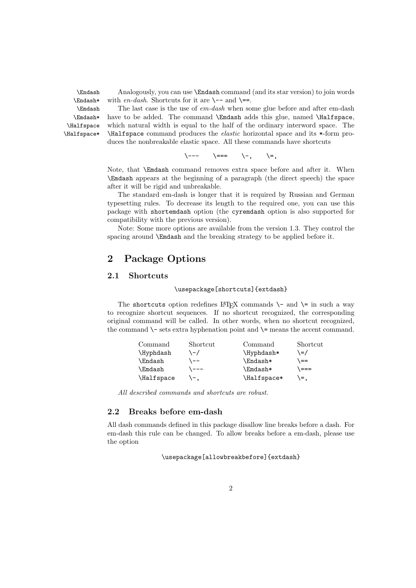\Endash Analogously, you can use \Endash command (and its star version) to join words  $\lambda^*$  with en-dash. Shortcuts for it are  $\setminus$ -- and  $\setminus$ ==.

\Emdash The last case is the use of em-dash when some glue before and after em-dash \Emdash\* have to be added. The command \Emdash adds this glue, named \Halfspace, \Halfspace which natural width is equal to the half of the ordinary interword space. The \Halfspace\* \Halfspace command produces the elastic horizontal space and its \*-form produces the nonbreakable elastic space. All these commands have shortcuts

 $\setminus$ ---  $\setminus$ ===  $\setminus$ -,  $\setminus$ =,

Note, that \Emdash command removes extra space before and after it. When \Emdash appears at the beginning of a paragraph (the direct speech) the space after it will be rigid and unbreakable.

The standard em-dash is longer that it is required by Russian and German typesetting rules. To decrease its length to the required one, you can use this package with shortemdash option (the cyremdash option is also supported for compatibility with the previous version).

Note: Some more options are available from the version 1.3. They control the spacing around \Emdash and the breaking strategy to be applied before it.

# 2 Package Options

### 2.1 Shortcuts

#### \usepackage[shortcuts]{extdash}

The shortcuts option redefines LATEX commands  $\$ - and  $\$ = in such a way to recognize shortcut sequences. If no shortcut recognized, the corresponding original command will be called. In other words, when no shortcut recognized, the command  $\$ – sets extra hyphenation point and  $\$ = means the accent command.

| Command        | Shortcut | Command     | Shortcut |
|----------------|----------|-------------|----------|
| \Hyphdash      | ヽー /     | \Hyphdash*  | \=/      |
| <b>\Endash</b> | $--$     | \Endash*    | $=$      |
| <b>\Emdash</b> | \ ———    | \Emdash*    | \ ===    |
| \Halfspace     |          | \Halfspace* | \=.      |

All described commands and shortcuts are robust.

### 2.2 Breaks before em-dash

All dash commands defined in this package disallow line breaks before a dash. For em-dash this rule can be changed. To allow breaks before a em-dash, please use the option

\usepackage[allowbreakbefore]{extdash}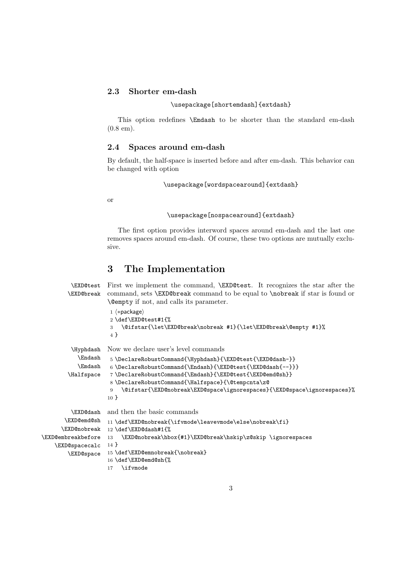### 2.3 Shorter em-dash

\usepackage[shortemdash]{extdash}

This option redefines \Emdash to be shorter than the standard em-dash (0.8 em).

### 2.4 Spaces around em-dash

By default, the half-space is inserted before and after em-dash. This behavior can be changed with option

\usepackage[wordspacearound]{extdash}

or

#### \usepackage[nospacearound]{extdash}

The first option provides interword spaces around em-dash and the last one removes spaces around em-dash. Of course, these two options are mutually exclusive.

# 3 The Implementation

```
\EXD@test
First we implement the command, \EXD@test. It recognizes the star after the
        \EXD@break
                    command, sets \EXD@break command to be equal to \nobreak if star is found or
                     \@empty if not, and calls its parameter.
                     1 \langle *package \rangle2 \def\EXD@test#1{%
                     3 \@ifstar{\let\EXD@break\nobreak #1}{\let\EXD@break\@empty #1}%
                     \overline{4} }
         \Hyphdash
           \Endash
           \Emdash
        \Halfspace
                    Now we declare user's level commands
                     5 \DeclareRobustCommand{\Hyphdash}{\EXD@test{\EXD@dash-}}
                     6 \DeclareRobustCommand{\Endash}{\EXD@test{\EXD@dash{--}}}
                     7 \DeclareRobustCommand{\Emdash}{\EXD@test{\EXD@emd@sh}}
                     8 \DeclareRobustCommand{\Halfspace}{\@tempcnta\z@
                     9 \@ifstar{\EXD@nobreak\EXD@space\ignorespaces}{\EXD@space\ignorespaces}%
                    10 }
         \EXD@dash
       \EXD@emd@sh
      \EXD@nobreak
12 \def\EXD@dash#1{%
\EXD@embreakbefore 13
    \EXD@spacecalc
14 }
        \EXD@space
                    and then the basic commands
                    11 \def\{{\tt XD@nobreak}ifvmode\leq{\tt newmode\leq{\tt s}}.\EXD@nobreak\hbox{#1}\EXD@break\hskip\z@skip \ignorespaces
                    15 \def\EXD@emnobreak{\nobreak}
                    16 \def\EXD@emd@sh{%
                    17 \ifvmode
```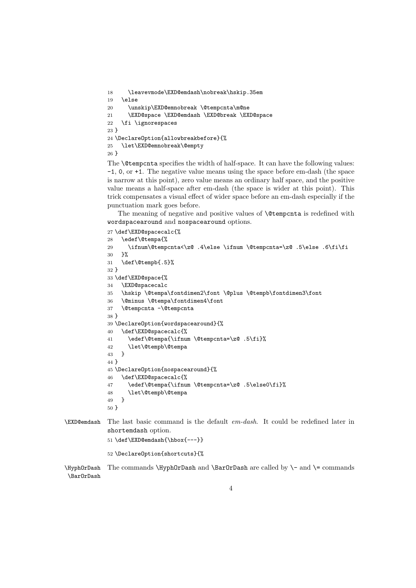```
18 \leavevmode\EXD@emdash\nobreak\hskip.35em
19 \else
20 \unskip\EXD@emnobreak \@tempcnta\m@ne
21 \EXD@space \EXD@emdash \EXD@break \EXD@space
22 \fi \ignorespaces
23 }
24 \DeclareOption{allowbreakbefore}{%
25 \let\EXD@emnobreak\@empty
26 }
```
The **\@tempcnta** specifies the width of half-space. It can have the following values: -1, 0, or +1. The negative value means using the space before em-dash (the space is narrow at this point), zero value means an ordinary half space, and the positive value means a half-space after em-dash (the space is wider at this point). This trick compensates a visual effect of wider space before an em-dash especially if the punctuation mark goes before.

The meaning of negative and positive values of **\@tempcnta** is redefined with wordspacearound and nospacearound options.

```
27 \def\EXD@spacecalc{%
            28 \edef\@tempa{%
            29 \ifnum\@tempcnta<\z@ .4\else \ifnum \@tempcnta=\z@ .5\else .6\fi\fi
            30 }%
            31 \def\@tempb{.5}%
            32 }
            33 \def\EXD@space{%
            34 \EXD@spacecalc
            35 \hskip \@tempa\fontdimen2\font \@plus \@tempb\fontdimen3\font
            36 \@minus \@tempa\fontdimen4\font
            37 \@tempcnta -\@tempcnta
            38 }
            39 \DeclareOption{wordspacearound}{%
            40 \def\EXD@spacecalc{%
            41 \edef\@tempa{\ifnum \@tempcnta=\z@ .5\fi}%
            42 \let\@tempb\@tempa
            43 }
            44 }
            45 \DeclareOption{nospacearound}{%
            46 \def\EXD@spacecalc{%
            47 \edef\@tempa{\ifnum \@tempcnta=\z@ .5\else0\fi}%
            48 \let\@tempb\@tempa
            49 }
            50 }
\EXD@emdash The last basic command is the default em-dash. It could be redefined later in
            shortemdash option.
```

```
51 \def\EXD@emdash{\hbox{---}}
```

```
52 \DeclareOption{shortcuts}{%
```

```
\HyphOrDash
\BarOrDash
            The commands \HyphOrDash and \BarOrDash are called by \- and \= commands
```